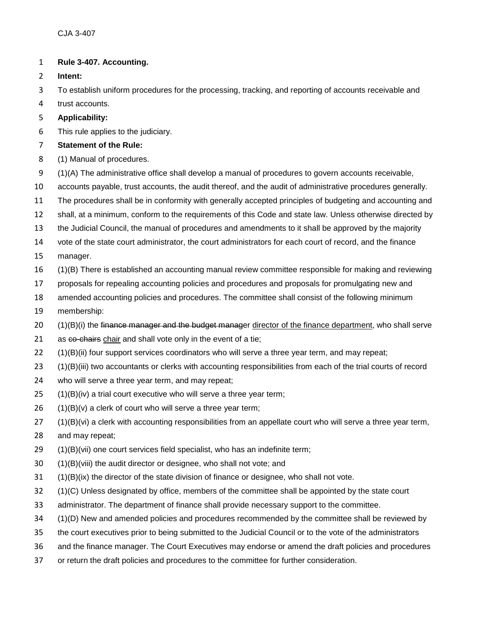- **Rule 3-407. Accounting.**
- **Intent:**
- To establish uniform procedures for the processing, tracking, and reporting of accounts receivable and
- trust accounts.
- **Applicability:**
- This rule applies to the judiciary.
- **Statement of the Rule:**
- (1) Manual of procedures.
- (1)(A) The administrative office shall develop a manual of procedures to govern accounts receivable,
- accounts payable, trust accounts, the audit thereof, and the audit of administrative procedures generally.
- The procedures shall be in conformity with generally accepted principles of budgeting and accounting and
- shall, at a minimum, conform to the requirements of this Code and state law. Unless otherwise directed by
- the Judicial Council, the manual of procedures and amendments to it shall be approved by the majority
- vote of the state court administrator, the court administrators for each court of record, and the finance
- manager.
- (1)(B) There is established an accounting manual review committee responsible for making and reviewing
- proposals for repealing accounting policies and procedures and proposals for promulgating new and
- amended accounting policies and procedures. The committee shall consist of the following minimum
- membership:
- 20 (1)(B)(i) the finance manager and the budget manager director of the finance department, who shall serve
- 21 as co-chairs chair and shall vote only in the event of a tie;
- 22 (1)(B)(ii) four support services coordinators who will serve a three year term, and may repeat;
- (1)(B)(iii) two accountants or clerks with accounting responsibilities from each of the trial courts of record
- who will serve a three year term, and may repeat;
- (1)(B)(iv) a trial court executive who will serve a three year term;
- (1)(B)(v) a clerk of court who will serve a three year term;
- (1)(B)(vi) a clerk with accounting responsibilities from an appellate court who will serve a three year term,
- and may repeat;
- (1)(B)(vii) one court services field specialist, who has an indefinite term;
- (1)(B)(viii) the audit director or designee, who shall not vote; and
- (1)(B)(ix) the director of the state division of finance or designee, who shall not vote.
- (1)(C) Unless designated by office, members of the committee shall be appointed by the state court
- administrator. The department of finance shall provide necessary support to the committee.
- (1)(D) New and amended policies and procedures recommended by the committee shall be reviewed by
- the court executives prior to being submitted to the Judicial Council or to the vote of the administrators
- and the finance manager. The Court Executives may endorse or amend the draft policies and procedures
- or return the draft policies and procedures to the committee for further consideration.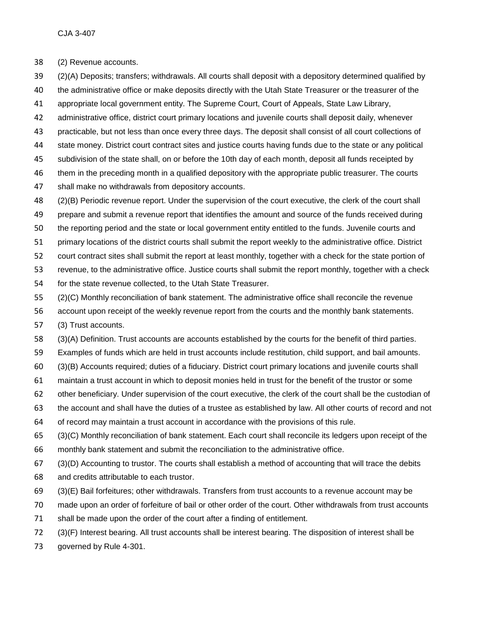(2) Revenue accounts.

- (2)(A) Deposits; transfers; withdrawals. All courts shall deposit with a depository determined qualified by
- the administrative office or make deposits directly with the Utah State Treasurer or the treasurer of the
- appropriate local government entity. The Supreme Court, Court of Appeals, State Law Library,
- administrative office, district court primary locations and juvenile courts shall deposit daily, whenever
- practicable, but not less than once every three days. The deposit shall consist of all court collections of
- state money. District court contract sites and justice courts having funds due to the state or any political
- subdivision of the state shall, on or before the 10th day of each month, deposit all funds receipted by
- them in the preceding month in a qualified depository with the appropriate public treasurer. The courts
- shall make no withdrawals from depository accounts.
- (2)(B) Periodic revenue report. Under the supervision of the court executive, the clerk of the court shall
- prepare and submit a revenue report that identifies the amount and source of the funds received during
- the reporting period and the state or local government entity entitled to the funds. Juvenile courts and
- primary locations of the district courts shall submit the report weekly to the administrative office. District
- court contract sites shall submit the report at least monthly, together with a check for the state portion of
- revenue, to the administrative office. Justice courts shall submit the report monthly, together with a check
- for the state revenue collected, to the Utah State Treasurer.
- (2)(C) Monthly reconciliation of bank statement. The administrative office shall reconcile the revenue
- account upon receipt of the weekly revenue report from the courts and the monthly bank statements.
- (3) Trust accounts.
- (3)(A) Definition. Trust accounts are accounts established by the courts for the benefit of third parties.
- Examples of funds which are held in trust accounts include restitution, child support, and bail amounts.
- (3)(B) Accounts required; duties of a fiduciary. District court primary locations and juvenile courts shall
- maintain a trust account in which to deposit monies held in trust for the benefit of the trustor or some
- other beneficiary. Under supervision of the court executive, the clerk of the court shall be the custodian of
- the account and shall have the duties of a trustee as established by law. All other courts of record and not
- of record may maintain a trust account in accordance with the provisions of this rule.
- (3)(C) Monthly reconciliation of bank statement. Each court shall reconcile its ledgers upon receipt of the
- monthly bank statement and submit the reconciliation to the administrative office.
- (3)(D) Accounting to trustor. The courts shall establish a method of accounting that will trace the debits
- and credits attributable to each trustor.
- (3)(E) Bail forfeitures; other withdrawals. Transfers from trust accounts to a revenue account may be
- made upon an order of forfeiture of bail or other order of the court. Other withdrawals from trust accounts
- shall be made upon the order of the court after a finding of entitlement.
- (3)(F) Interest bearing. All trust accounts shall be interest bearing. The disposition of interest shall be
- governed by Rule 4-301.